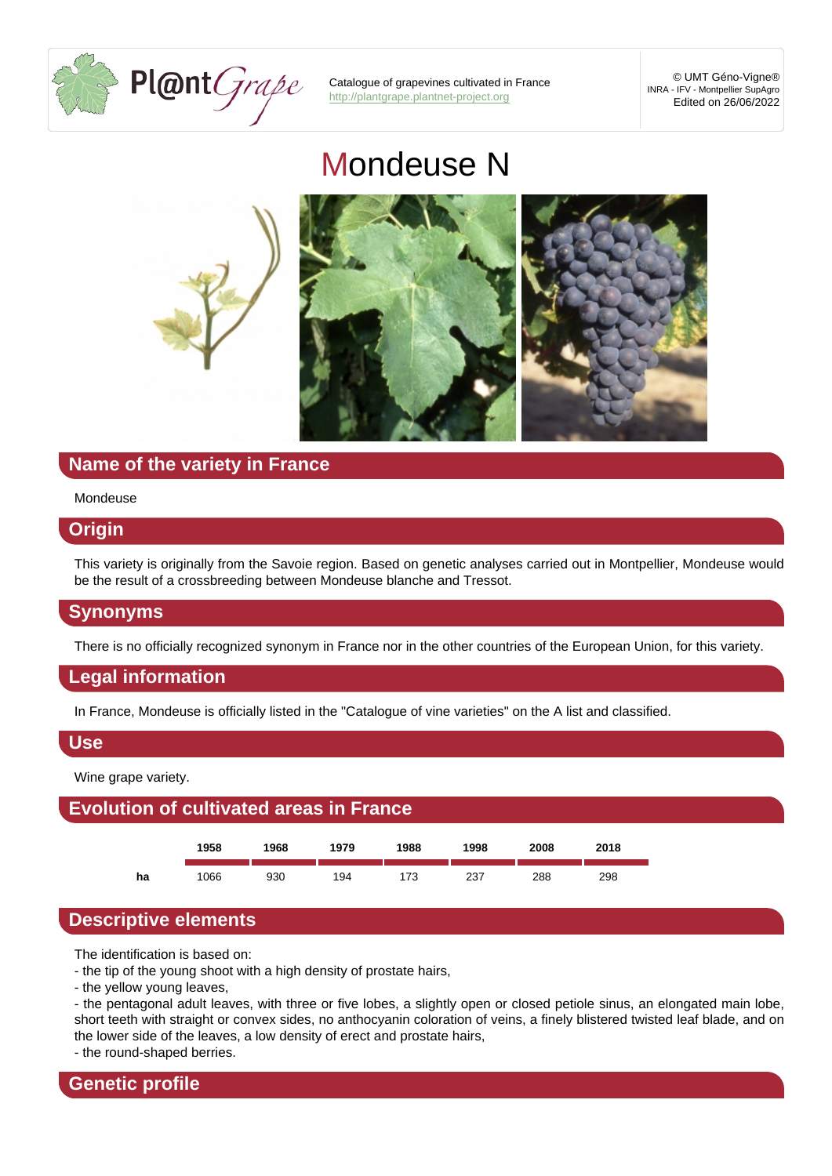# [Mondeuse N](http://plantgrape.plantnet-project.org)

## Name of the variety in France

#### Mondeuse

## **Origin**

This variety is originally from the Savoie region. Based on genetic analyses carried out in Montpellier, Mondeuse would be the result of a crossbreeding between Mondeuse blanche and Tressot.

#### Synonyms

There is no officially recognized synonym in France nor in the other countries of the European Union, for this variety.

## Legal information

In France, Mondeuse is officially listed in the "Catalogue of vine varieties" on the A list and classified.

#### Use

Wine grape variety.



## Descriptive elements

The identification is based on:

- the tip of the young shoot with a high density of prostate hairs,

- the yellow young leaves,

- the pentagonal adult leaves, with three or five lobes, a slightly open or closed petiole sinus, an elongated main lobe, short teeth with straight or convex sides, no anthocyanin coloration of veins, a finely blistered twisted leaf blade, and on the lower side of the leaves, a low density of erect and prostate hairs,

- the round-shaped berries.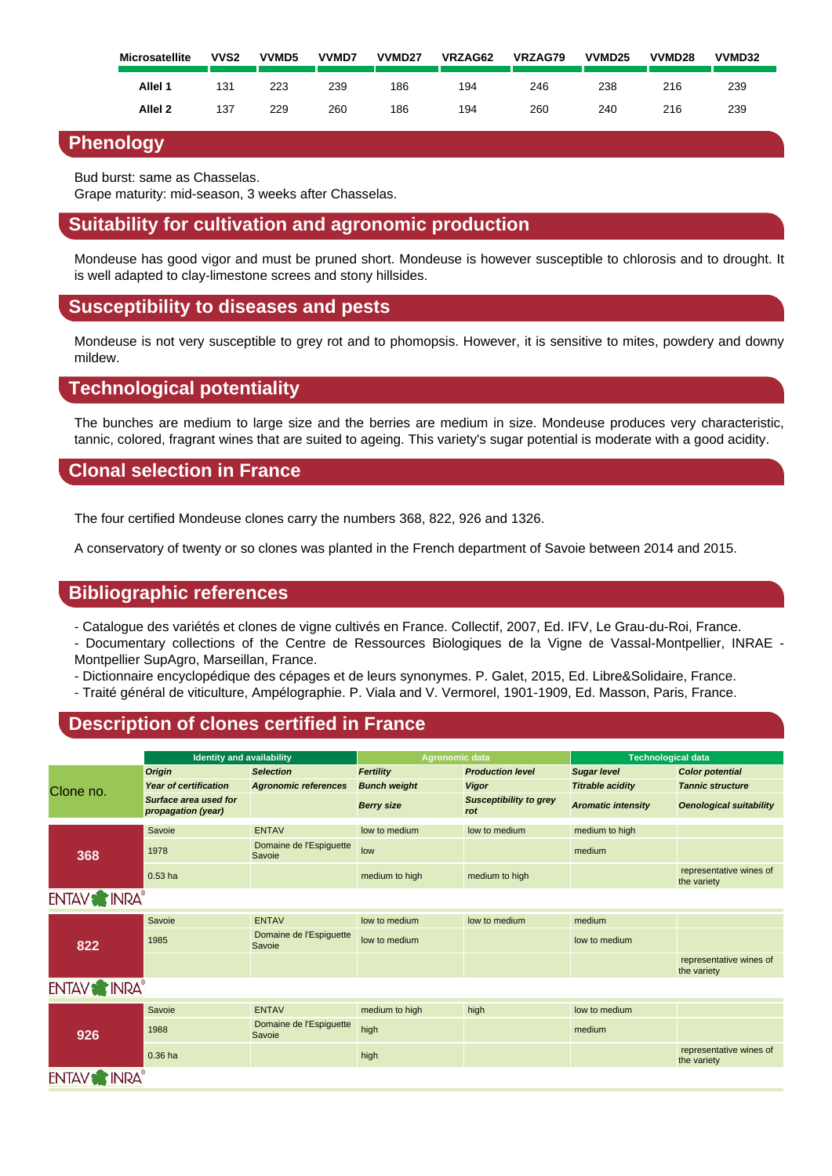|           | Allel 1            | 131 | 223 | 239 | 186 | 194 | 246 | 238 | 216 | 239 |
|-----------|--------------------|-----|-----|-----|-----|-----|-----|-----|-----|-----|
|           | Allel <sub>2</sub> | 137 | 229 | 260 | 186 | 194 | 260 | 240 | 216 | 239 |
| Phenology |                    |     |     |     |     |     |     |     |     |     |

Bud burst: same as Chasselas.

Grape maturity: mid-season, 3 weeks after Chasselas.

## Suitability for cultivation and agronomic production

Mondeuse has good vigor and must be pruned short. Mondeuse is however susceptible to chlorosis and to drought. It is well adapted to clay-limestone screes and stony hillsides.

## Susceptibility to diseases and pests

Mondeuse is not very susceptible to grey rot and to phomopsis. However, it is sensitive to mites, powdery and downy mildew.

## Technological potentiality

The bunches are medium to large size and the berries are medium in size. Mondeuse produces very characteristic, tannic, colored, fragrant wines that are suited to ageing. This variety's sugar potential is moderate with a good acidity.

## Clonal selection in France

The four certified Mondeuse clones carry the numbers 368, 822, 926 and 1326.

A conservatory of twenty or so clones was planted in the French department of Savoie between 2014 and 2015.

## Bibliographic references

- Catalogue des variétés et clones de vigne cultivés en France. Collectif, 2007, Ed. IFV, Le Grau-du-Roi, France.
- Documentary collections of the Centre de Ressources Biologiques de la Vigne de Vassal-Montpellier, INRAE Montpellier SupAgro, Marseillan, France.
- Dictionnaire encyclopédique des cépages et de leurs synonymes. P. Galet, 2015, Ed. Libre&Solidaire, France.
- Traité général de viticulture, Ampélographie. P. Viala and V. Vermorel, 1901-1909, Ed. Masson, Paris, France.

## Description of clones certified in France

|           | Identity and availability                   |                                   | Agronomic data      |                               | Technological data |                                        |  |
|-----------|---------------------------------------------|-----------------------------------|---------------------|-------------------------------|--------------------|----------------------------------------|--|
|           | Origin                                      | <b>Selection</b>                  | Fertility           | <b>Production level</b>       | Sugar level        | Color potential                        |  |
| Clone no. | Year of certification                       | Agronomic references              | <b>Bunch weight</b> | Vigor                         | Titrable acidity   | <b>Tannic structure</b>                |  |
|           | Surface area used for<br>propagation (year) |                                   | Berry size          | Susceptibility to grey<br>rot | Aromatic intensity | Oenological suitability                |  |
|           | Savoie                                      | <b>ENTAV</b>                      | low to medium       | low to medium                 | medium to high     |                                        |  |
| 368       | 1978                                        | Domaine de l'Espiguette<br>Savoie | low                 |                               | medium             |                                        |  |
|           | $0.53$ ha                                   |                                   | medium to high      | medium to high                |                    | representative wines of<br>the variety |  |
|           |                                             |                                   |                     |                               |                    |                                        |  |
|           | Savoie                                      | <b>ENTAV</b>                      | low to medium       | low to medium                 | medium             |                                        |  |
| 822       | 1985                                        | Domaine de l'Espiguette<br>Savoie | low to medium       |                               | low to medium      |                                        |  |
|           |                                             |                                   |                     |                               |                    | representative wines of<br>the variety |  |
|           |                                             |                                   |                     |                               |                    |                                        |  |
|           | Savoie                                      | <b>ENTAV</b>                      | medium to high      | high                          | low to medium      |                                        |  |
| 926       | 1988                                        | Domaine de l'Espiguette<br>Savoie | high                |                               | medium             |                                        |  |
|           | $0.36$ ha                                   |                                   | high                |                               |                    | representative wines of<br>the variety |  |
|           |                                             |                                   |                     |                               |                    |                                        |  |